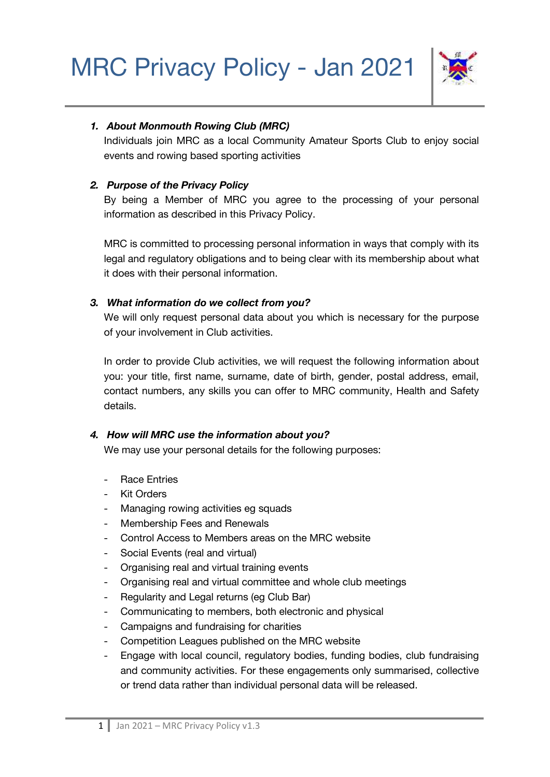

# *1. About Monmouth Rowing Club (MRC)*

Individuals join MRC as a local Community Amateur Sports Club to enjoy social events and rowing based sporting activities

## *2. Purpose of the Privacy Policy*

By being a Member of MRC you agree to the processing of your personal information as described in this Privacy Policy.

MRC is committed to processing personal information in ways that comply with its legal and regulatory obligations and to being clear with its membership about what it does with their personal information.

## *3. What information do we collect from you?*

We will only request personal data about you which is necessary for the purpose of your involvement in Club activities.

In order to provide Club activities, we will request the following information about you: your title, first name, surname, date of birth, gender, postal address, email, contact numbers, any skills you can offer to MRC community, Health and Safety details.

# *4. How will MRC use the information about you?*

We may use your personal details for the following purposes:

- Race Entries
- Kit Orders
- Managing rowing activities eg squads
- Membership Fees and Renewals
- Control Access to Members areas on the MRC website
- Social Events (real and virtual)
- Organising real and virtual training events
- Organising real and virtual committee and whole club meetings
- Regularity and Legal returns (eg Club Bar)
- Communicating to members, both electronic and physical
- Campaigns and fundraising for charities
- Competition Leagues published on the MRC website
- Engage with local council, regulatory bodies, funding bodies, club fundraising and community activities. For these engagements only summarised, collective or trend data rather than individual personal data will be released.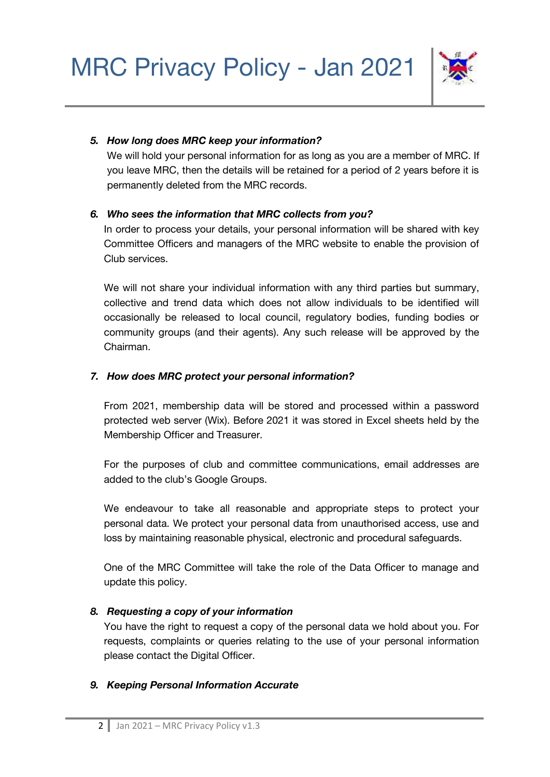

## *5. How long does MRC keep your information?*

We will hold your personal information for as long as you are a member of MRC. If you leave MRC, then the details will be retained for a period of 2 years before it is permanently deleted from the MRC records.

## *6. Who sees the information that MRC collects from you?*

In order to process your details, your personal information will be shared with key Committee Officers and managers of the MRC website to enable the provision of Club services.

We will not share your individual information with any third parties but summary, collective and trend data which does not allow individuals to be identified will occasionally be released to local council, regulatory bodies, funding bodies or community groups (and their agents). Any such release will be approved by the Chairman.

## *7. How does MRC protect your personal information?*

From 2021, membership data will be stored and processed within a password protected web server (Wix). Before 2021 it was stored in Excel sheets held by the Membership Officer and Treasurer.

For the purposes of club and committee communications, email addresses are added to the club's Google Groups.

We endeavour to take all reasonable and appropriate steps to protect your personal data. We protect your personal data from unauthorised access, use and loss by maintaining reasonable physical, electronic and procedural safeguards.

One of the MRC Committee will take the role of the Data Officer to manage and update this policy.

# *8. Requesting a copy of your information*

You have the right to request a copy of the personal data we hold about you. For requests, complaints or queries relating to the use of your personal information please contact the Digital Officer.

# *9. Keeping Personal Information Accurate*